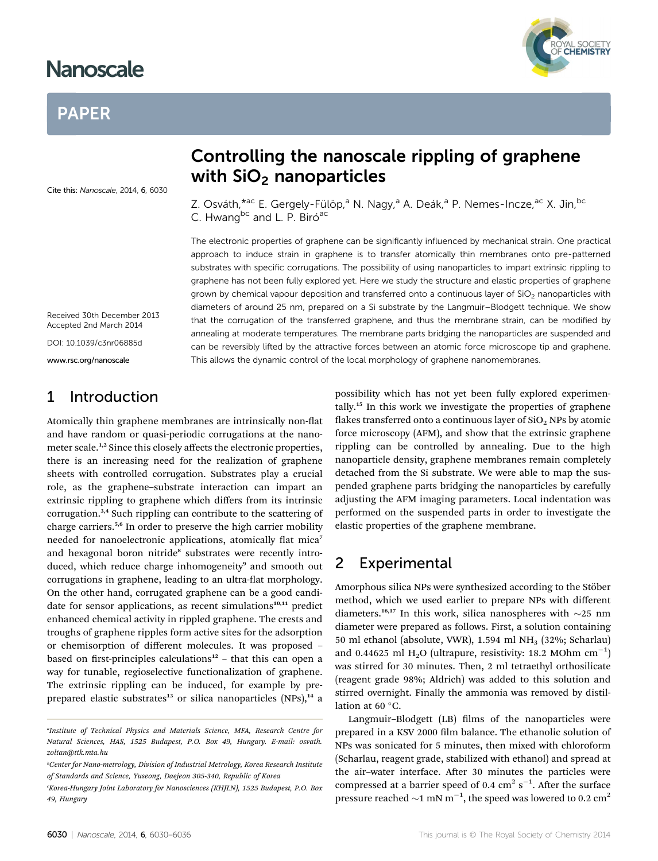## **Nanoscale** Nanoscale

#### **PAPER** PAPER

Cite this: Nanoscale, 2014, 6, 6030

# Controlling the nanoscale rippling of graphene<br>with SiO<sub>2</sub> nanoparticles with SiO<sub>2</sub> nanoparticles in the SiO2 nanoparticles in the SiO2 nanoparticles in the SiO2 nanoparticles in the SiO2 nanoparticles in the SiO2 nanoparticles in the SiO2 nanoparticles in the SiO2 nanoparticles in the SiO2 na

Z. Osváth, \*<sup>ac</sup> E. Gergely-Fülöp,<sup>a</sup> N. Nagy,<sup>a</sup> A. Deák,<sup>a</sup> P. Nemes-Incze,<sup>ac</sup> X. Jin, <sup>bo</sup> C. Hwang<sup>bc</sup> and L. P. Biró<sup>ac</sup>

The electronic properties of graphene can be significantly influenced by mechanical strain. One practical approach to induce strain in graphene is to transfer atomically thin membranes onto pre-patterned substrates with specific corrugations. The possibility of using nanoparticles to impart extrinsic rippling to graphene has not been fully explored yet. Here we study the structure and elastic properties of graphene grown by chemical vapour deposition and transferred onto a continuous layer of  $SiO<sub>2</sub>$  nanoparticles with diameters of around 25 nm, prepared on a Si substrate by the Langmuir–Blodgett technique. We show that the corrugation of the transferred graphene, and thus the membrane strain, can be modified by annealing at moderate temperatures. The membrane parts bridging the nanoparticles are suspended and can be reversibly lifted by the attractive forces between an atomic force microscope tip and graphene. This allows the dynamic control of the local morphology of graphene nanomembranes.

Received 30th December 2013 Accepted 2nd March 2014

DOI: 10.1039/c3nr06885d

www.rsc.org/nanoscale

### 1 Introduction

Atomically thin graphene membranes are intrinsically non-flat and have random or quasi-periodic corrugations at the nanometer scale.<sup>1,2</sup> Since this closely affects the electronic properties, there is an increasing need for the realization of graphene sheets with controlled corrugation. Substrates play a crucial role, as the graphene–substrate interaction can impart an extrinsic rippling to graphene which differs from its intrinsic corrugation.3,4 Such rippling can contribute to the scattering of charge carriers.5,6 In order to preserve the high carrier mobility needed for nanoelectronic applications, atomically flat mica<sup>7</sup> and hexagonal boron nitride<sup>8</sup> substrates were recently introduced, which reduce charge inhomogeneity<sup>9</sup> and smooth out corrugations in graphene, leading to an ultra-flat morphology. On the other hand, corrugated graphene can be a good candidate for sensor applications, as recent simulations<sup>10,11</sup> predict enhanced chemical activity in rippled graphene. The crests and troughs of graphene ripples form active sites for the adsorption or chemisorption of different molecules. It was proposed – based on first-principles calculations<sup>12</sup> – that this can open a way for tunable, regioselective functionalization of graphene. The extrinsic rippling can be induced, for example by preprepared elastic substrates<sup>13</sup> or silica nanoparticles  $(NPs)$ ,<sup>14</sup> a

possibility which has not yet been fully explored experimentally.<sup>15</sup> In this work we investigate the properties of graphene flakes transferred onto a continuous layer of  $SiO<sub>2</sub>$  NPs by atomic force microscopy (AFM), and show that the extrinsic graphene rippling can be controlled by annealing. Due to the high nanoparticle density, graphene membranes remain completely detached from the Si substrate. We were able to map the suspended graphene parts bridging the nanoparticles by carefully adjusting the AFM imaging parameters. Local indentation was performed on the suspended parts in order to investigate the elastic properties of the graphene membrane.

#### 2 Experimental

Amorphous silica NPs were synthesized according to the Stöber method, which we used earlier to prepare NPs with different diameters.<sup>16,17</sup> In this work, silica nanospheres with  $\sim$ 25 nm diameter were prepared as follows. First, a solution containing 50 ml ethanol (absolute, VWR), 1.594 ml NH<sub>3</sub> (32%; Scharlau) and 0.44625 ml  $H_2O$  (ultrapure, resistivity: 18.2 MOhm  $cm^{-1}$ ) was stirred for 30 minutes. Then, 2 ml tetraethyl orthosilicate (reagent grade 98%; Aldrich) was added to this solution and stirred overnight. Finally the ammonia was removed by distillation at 60 $\degree$ C.

Langmuir-Blodgett (LB) films of the nanoparticles were prepared in a KSV 2000 film balance. The ethanolic solution of NPs was sonicated for 5 minutes, then mixed with chloroform (Scharlau, reagent grade, stabilized with ethanol) and spread at the air-water interface. After 30 minutes the particles were compressed at a barrier speed of 0.4  $\text{cm}^2 \text{ s}^{-1}$ . After the surface pressure reached  $\sim$ 1 mN m<sup>-1</sup>, the speed was lowered to 0.2 cm<sup>2</sup>



<sup>&</sup>lt;sup>a</sup>Institute of Technical Physics and Materials Science, MFA, Research Centre for Natural Sciences, HAS, 1525 Budapest, P.O. Box 49, Hungary. E-mail: osvath. zoltan@ttk.mta.hu

b Center for Nano-metrology, Division of Industrial Metrology, Korea Research Institute of Standards and Science, Yuseong, Daejeon 305-340, Republic of Korea

Korea-Hungary Joint Laboratory for Nanosciences (KHJLN), 1525 Budapest, P.O. Box 49, Hungary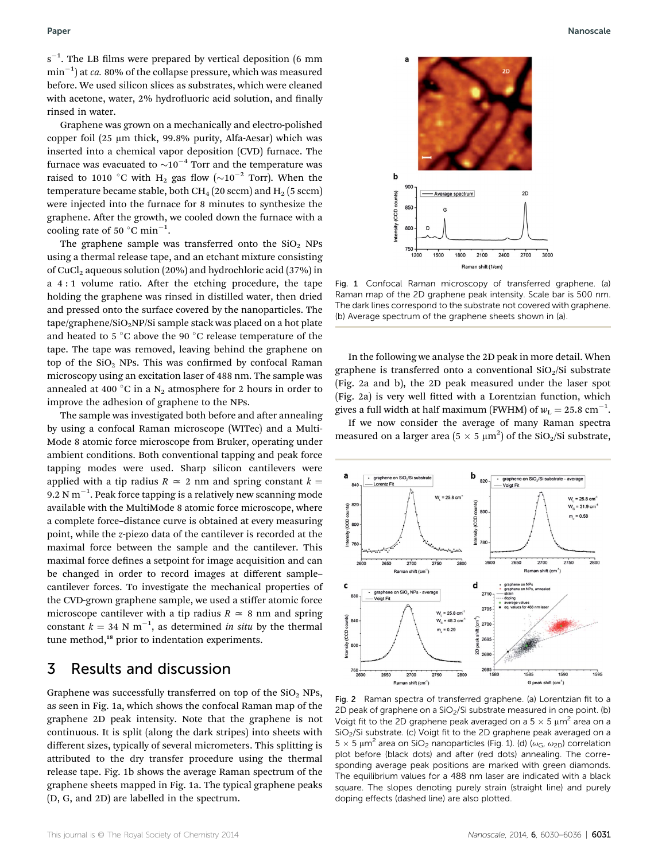$s^{-1}$ . The LB films were prepared by vertical deposition (6 mm  $\min^{-1}$ ) at *ca*. 80% of the collapse pressure, which was measured before. We used silicon slices as substrates, which were cleaned with acetone, water, 2% hydrofluoric acid solution, and finally rinsed in water.

Graphene was grown on a mechanically and electro-polished copper foil (25  $\mu$ m thick, 99.8% purity, Alfa-Aesar) which was inserted into a chemical vapor deposition (CVD) furnace. The furnace was evacuated to  $\sim 10^{-4}$  Torr and the temperature was raised to 1010 °C with H<sub>2</sub> gas flow ( $\sim 10^{-2}$  Torr). When the temperature became stable, both CH<sub>4</sub> (20 sccm) and H<sub>2</sub> (5 sccm) were injected into the furnace for 8 minutes to synthesize the graphene. After the growth, we cooled down the furnace with a cooling rate of 50  $^{\circ}$ C min<sup>-1</sup>.

The graphene sample was transferred onto the  $SiO<sub>2</sub>$  NPs using a thermal release tape, and an etchant mixture consisting of CuCl<sub>2</sub> aqueous solution (20%) and hydrochloric acid (37%) in a  $4:1$  volume ratio. After the etching procedure, the tape holding the graphene was rinsed in distilled water, then dried and pressed onto the surface covered by the nanoparticles. The  $\text{tape/graphene/SiO}_2$ NP/Si sample stack was placed on a hot plate and heated to 5  $\degree$ C above the 90  $\degree$ C release temperature of the tape. The tape was removed, leaving behind the graphene on top of the  $SiO<sub>2</sub>$  NPs. This was confirmed by confocal Raman microscopy using an excitation laser of 488 nm. The sample was annealed at 400 °C in a  $N_2$  atmosphere for 2 hours in order to improve the adhesion of graphene to the NPs.

The sample was investigated both before and after annealing by using a confocal Raman microscope (WITec) and a Multi-Mode 8 atomic force microscope from Bruker, operating under ambient conditions. Both conventional tapping and peak force tapping modes were used. Sharp silicon cantilevers were applied with a tip radius  $R \approx 2$  nm and spring constant  $k =$ 9.2 N  $\mathrm{m}^{-1}.$  Peak force tapping is a relatively new scanning mode available with the MultiMode 8 atomic force microscope, where a complete force–distance curve is obtained at every measuring point, while the z-piezo data of the cantilever is recorded at the maximal force between the sample and the cantilever. This maximal force defines a setpoint for image acquisition and can be changed in order to record images at different sample– cantilever forces. To investigate the mechanical properties of the CVD-grown graphene sample, we used a stiffer atomic force microscope cantilever with a tip radius  $R \approx 8$  nm and spring constant  $k = 34$  N m<sup>-1</sup>, as determined *in situ* by the thermal tune method,<sup>18</sup> prior to indentation experiments.

#### 3 Results and discussion

Graphene was successfully transferred on top of the  $SiO<sub>2</sub>$  NPs, as seen in Fig. 1a, which shows the confocal Raman map of the graphene 2D peak intensity. Note that the graphene is not continuous. It is split (along the dark stripes) into sheets with different sizes, typically of several micrometers. This splitting is attributed to the dry transfer procedure using the thermal release tape. Fig. 1b shows the average Raman spectrum of the graphene sheets mapped in Fig. 1a. The typical graphene peaks (D, G, and 2D) are labelled in the spectrum.



Fig. 1 Confocal Raman microscopy of transferred graphene. (a) Raman map of the 2D graphene peak intensity. Scale bar is 500 nm. The dark lines correspond to the substrate not covered with graphene. (b) Average spectrum of the graphene sheets shown in (a).

In the following we analyse the 2D peak in more detail. When graphene is transferred onto a conventional  $SiO<sub>2</sub>/Si$  substrate (Fig. 2a and b), the 2D peak measured under the laser spot (Fig. 2a) is very well fitted with a Lorentzian function, which gives a full width at half maximum (FWHM) of  $w_{\rm L} = 25.8 \text{ cm}^{-1}$ .

If we now consider the average of many Raman spectra measured on a larger area ( $5 \times 5 \mu m^2$ ) of the SiO<sub>2</sub>/Si substrate,



Fig. 2 Raman spectra of transferred graphene. (a) Lorentzian fit to a 2D peak of graphene on a  $SiO<sub>2</sub>/Si$  substrate measured in one point. (b) Voigt fit to the 2D graphene peak averaged on a  $5 \times 5 \mu m^2$  area on a SiO2/Si substrate. (c) Voigt fit to the 2D graphene peak averaged on a  $5 \times 5 \mu m^2$  area on SiO<sub>2</sub> nanoparticles (Fig. 1). (d) ( $\omega_G$ ,  $\omega_{2D}$ ) correlation plot before (black dots) and after (red dots) annealing. The corresponding average peak positions are marked with green diamonds. The equilibrium values for a 488 nm laser are indicated with a black square. The slopes denoting purely strain (straight line) and purely doping effects (dashed line) are also plotted.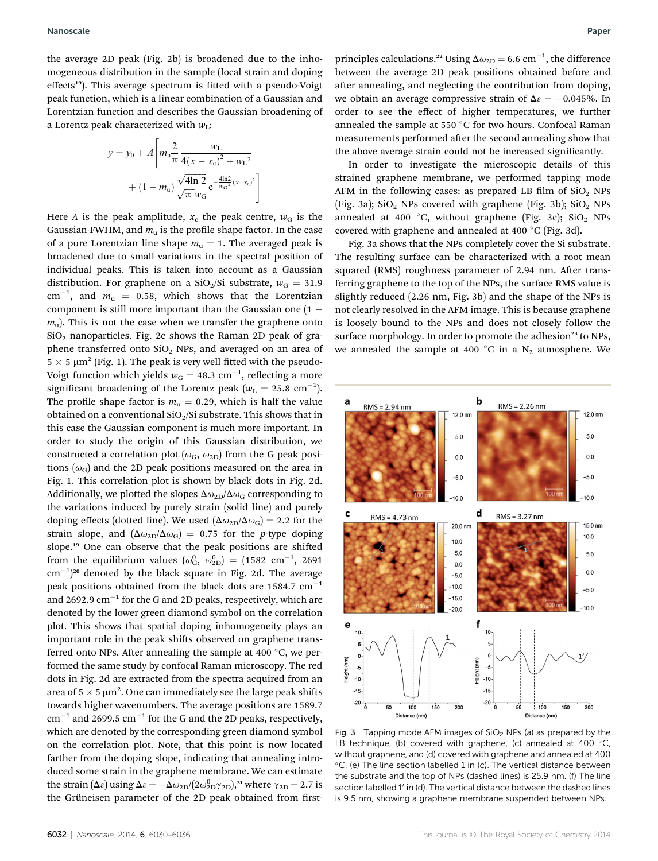the average 2D peak (Fig. 2b) is broadened due to the inhomogeneous distribution in the sample (local strain and doping effects<sup>19</sup>). This average spectrum is fitted with a pseudo-Voigt peak function, which is a linear combination of a Gaussian and Lorentzian function and describes the Gaussian broadening of a Lorentz peak characterized with  $w_L$ :

$$
y = y_0 + A \left[ m_u \frac{2}{\pi} \frac{w_L}{4(x - x_c)^2 + w_L^2} + (1 - m_u) \frac{\sqrt{4 \ln 2}}{\sqrt{\pi} w_G} e^{-\frac{4 \ln 2}{w_G^2} (x - x_c)^2} \right]
$$

Here A is the peak amplitude,  $x_c$  the peak centre,  $w_G$  is the Gaussian FWHM, and  $m<sub>u</sub>$  is the profile shape factor. In the case of a pure Lorentzian line shape  $m_u = 1$ . The averaged peak is broadened due to small variations in the spectral position of individual peaks. This is taken into account as a Gaussian distribution. For graphene on a SiO<sub>2</sub>/Si substrate,  $w_G = 31.9$  $\text{cm}^{-1}$ , and  $m_{\text{u}} = 0.58$ , which shows that the Lorentzian component is still more important than the Gaussian one  $(1$  $m<sub>u</sub>$ ). This is not the case when we transfer the graphene onto  $SiO<sub>2</sub>$  nanoparticles. Fig. 2c shows the Raman 2D peak of graphene transferred onto  $SiO<sub>2</sub>$  NPs, and averaged on an area of  $5 \times 5 \mu m^2$  (Fig. 1). The peak is very well fitted with the pseudo-Voigt function which yields  $w_G = 48.3 \text{ cm}^{-1}$ , reflecting a more significant broadening of the Lorentz peak ( $w<sub>L</sub> = 25.8$  cm<sup>-1</sup>). The profile shape factor is  $m<sub>u</sub> = 0.29$ , which is half the value obtained on a conventional  $SiO<sub>2</sub>/Si$  substrate. This shows that in this case the Gaussian component is much more important. In order to study the origin of this Gaussian distribution, we constructed a correlation plot ( $\omega$ <sub>G</sub>,  $\omega$ <sub>2D</sub>) from the G peak positions ( $\omega$ <sub>G</sub>) and the 2D peak positions measured on the area in Fig. 1. This correlation plot is shown by black dots in Fig. 2d. Additionally, we plotted the slopes  $\Delta\omega_{2\text{D}}/\Delta\omega_{\text{G}}$  corresponding to the variations induced by purely strain (solid line) and purely doping effects (dotted line). We used  $(\Delta \omega_{2D}/\Delta \omega_{G}) = 2.2$  for the strain slope, and  $(\Delta \omega_{2D}/\Delta \omega_G) = 0.75$  for the *p*-type doping slope.<sup>19</sup> One can observe that the peak positions are shifted from the equilibrium values  $(\omega_{\rm G}^0, \omega_{\rm 2D}^0) = (1582 \text{ cm}^{-1}, 2691 \text{ m})$  $\rm cm^{-1})^{20}$  denoted by the black square in Fig. 2d. The average peak positions obtained from the black dots are  $1584.7 \text{ cm}^{-1}$ and 2692.9  $cm^{-1}$  for the G and 2D peaks, respectively, which are denoted by the lower green diamond symbol on the correlation plot. This shows that spatial doping inhomogeneity plays an important role in the peak shifts observed on graphene transferred onto NPs. After annealing the sample at 400  $^{\circ}$ C, we performed the same study by confocal Raman microscopy. The red dots in Fig. 2d are extracted from the spectra acquired from an area of 5  $\times$  5  $\mu$ m<sup>2</sup>. One can immediately see the large peak shifts towards higher wavenumbers. The average positions are 1589.7  $cm^{-1}$  and 2699.5  $cm^{-1}$  for the G and the 2D peaks, respectively, which are denoted by the corresponding green diamond symbol on the correlation plot. Note, that this point is now located farther from the doping slope, indicating that annealing introduced some strain in the graphene membrane. We can estimate the strain ( $\Delta \varepsilon$ ) using  $\Delta \varepsilon = -\Delta \omega_{2D}/(2\omega_{2D}^0 \gamma_{2D})$ ,<sup>21</sup> where  $\gamma_{2D} = 2.7$  is the Grüneisen parameter of the 2D peak obtained from first-

principles calculations.<sup>22</sup> Using  $\Delta\omega_{\rm 2D} = 6.6\ {\rm cm}^{-1}$ , the difference between the average 2D peak positions obtained before and after annealing, and neglecting the contribution from doping, we obtain an average compressive strain of  $\Delta \epsilon = -0.045\%$ . In order to see the effect of higher temperatures, we further annealed the sample at 550  $\degree$ C for two hours. Confocal Raman measurements performed after the second annealing show that the above average strain could not be increased signicantly.

In order to investigate the microscopic details of this strained graphene membrane, we performed tapping mode AFM in the following cases: as prepared LB film of  $SiO<sub>2</sub>$  NPs (Fig. 3a);  $SiO<sub>2</sub>$  NPs covered with graphene (Fig. 3b);  $SiO<sub>2</sub>$  NPs annealed at 400 °C, without graphene (Fig. 3c);  $SiO<sub>2</sub>$  NPs covered with graphene and annealed at 400 °C (Fig. 3d).

Fig. 3a shows that the NPs completely cover the Si substrate. The resulting surface can be characterized with a root mean squared (RMS) roughness parameter of 2.94 nm. After transferring graphene to the top of the NPs, the surface RMS value is slightly reduced (2.26 nm, Fig. 3b) and the shape of the NPs is not clearly resolved in the AFM image. This is because graphene is loosely bound to the NPs and does not closely follow the surface morphology. In order to promote the adhesion<sup>23</sup> to NPs, we annealed the sample at 400 °C in a  $N_2$  atmosphere. We



Fig. 3 Tapping mode AFM images of  $SiO<sub>2</sub>$  NPs (a) as prepared by the LB technique, (b) covered with graphene, (c) annealed at 400  $\degree$ C, without graphene, and (d) covered with graphene and annealed at 400 C. (e) The line section labelled 1 in (c). The vertical distance between the substrate and the top of NPs (dashed lines) is 25.9 nm. (f) The line section labelled 1' in (d). The vertical distance between the dashed lines is 9.5 nm, showing a graphene membrane suspended between NPs.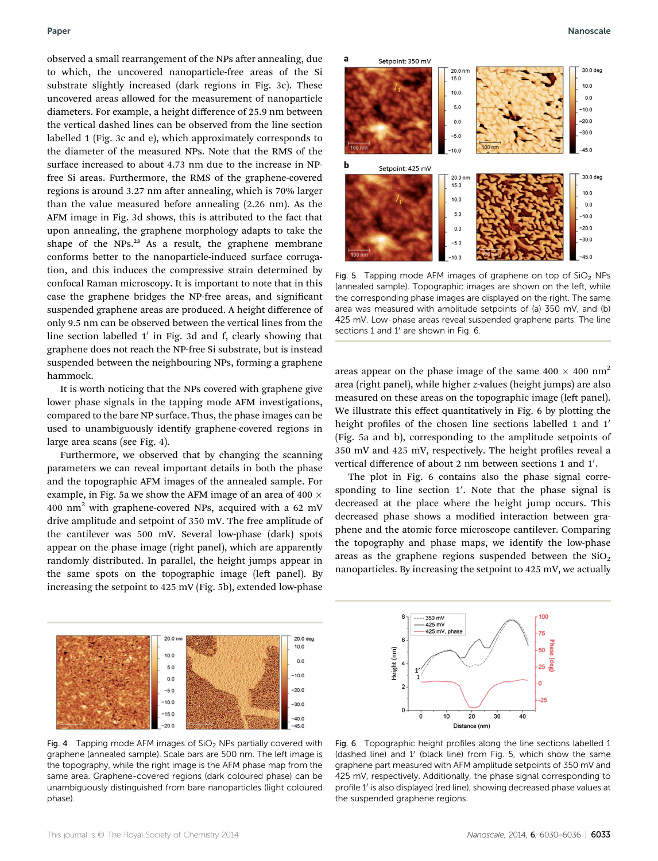observed a small rearrangement of the NPs after annealing, due to which, the uncovered nanoparticle-free areas of the Si substrate slightly increased (dark regions in Fig. 3c). These uncovered areas allowed for the measurement of nanoparticle diameters. For example, a height difference of 25.9 nm between the vertical dashed lines can be observed from the line section labelled 1 (Fig. 3c and e), which approximately corresponds to the diameter of the measured NPs. Note that the RMS of the surface increased to about 4.73 nm due to the increase in NPfree Si areas. Furthermore, the RMS of the graphene-covered regions is around  $3.27$  nm after annealing, which is  $70\%$  larger than the value measured before annealing (2.26 nm). As the AFM image in Fig. 3d shows, this is attributed to the fact that upon annealing, the graphene morphology adapts to take the shape of the NPs. $^{23}$  As a result, the graphene membrane conforms better to the nanoparticle-induced surface corrugation, and this induces the compressive strain determined by confocal Raman microscopy. It is important to note that in this case the graphene bridges the NP-free areas, and signicant suspended graphene areas are produced. A height difference of only 9.5 nm can be observed between the vertical lines from the line section labelled  $1'$  in Fig. 3d and f, clearly showing that graphene does not reach the NP-free Si substrate, but is instead suspended between the neighbouring NPs, forming a graphene hammock.

It is worth noticing that the NPs covered with graphene give lower phase signals in the tapping mode AFM investigations, compared to the bare NP surface. Thus, the phase images can be used to unambiguously identify graphene-covered regions in large area scans (see Fig. 4).

Furthermore, we observed that by changing the scanning parameters we can reveal important details in both the phase and the topographic AFM images of the annealed sample. For example, in Fig. 5a we show the AFM image of an area of 400  $\times$ 400  $\text{nm}^2$  with graphene-covered NPs, acquired with a 62 mV drive amplitude and setpoint of 350 mV. The free amplitude of the cantilever was 500 mV. Several low-phase (dark) spots appear on the phase image (right panel), which are apparently randomly distributed. In parallel, the height jumps appear in the same spots on the topographic image (left panel). By increasing the setpoint to 425 mV (Fig. 5b), extended low-phase



Fig. 4 Tapping mode AFM images of  $SiO<sub>2</sub>$  NPs partially covered with graphene (annealed sample). Scale bars are 500 nm. The left image is the topography, while the right image is the AFM phase map from the same area. Graphene-covered regions (dark coloured phase) can be unambiguously distinguished from bare nanoparticles (light coloured phase).



Fig. 5 Tapping mode AFM images of graphene on top of  $SiO<sub>2</sub>$  NPs (annealed sample). Topographic images are shown on the left, while the corresponding phase images are displayed on the right. The same area was measured with amplitude setpoints of (a) 350 mV, and (b) 425 mV. Low-phase areas reveal suspended graphene parts. The line sections  $1$  and  $1'$  are shown in Fig. 6.

areas appear on the phase image of the same  $400 \times 400$  nm<sup>2</sup> area (right panel), while higher z-values (height jumps) are also measured on these areas on the topographic image (left panel). We illustrate this effect quantitatively in Fig. 6 by plotting the height profiles of the chosen line sections labelled 1 and 1' (Fig. 5a and b), corresponding to the amplitude setpoints of 350 mV and 425 mV, respectively. The height profiles reveal a vertical difference of about 2 nm between sections 1 and 1'.

The plot in Fig. 6 contains also the phase signal corresponding to line section  $1'$ . Note that the phase signal is decreased at the place where the height jump occurs. This decreased phase shows a modified interaction between graphene and the atomic force microscope cantilever. Comparing the topography and phase maps, we identify the low-phase areas as the graphene regions suspended between the  $SiO<sub>2</sub>$ nanoparticles. By increasing the setpoint to 425 mV, we actually



Fig. 6 Topographic height profiles along the line sections labelled 1 (dashed line) and  $1'$  (black line) from Fig. 5, which show the same graphene part measured with AFM amplitude setpoints of 350 mV and 425 mV, respectively. Additionally, the phase signal corresponding to profile 1' is also displayed (red line), showing decreased phase values at the suspended graphene regions.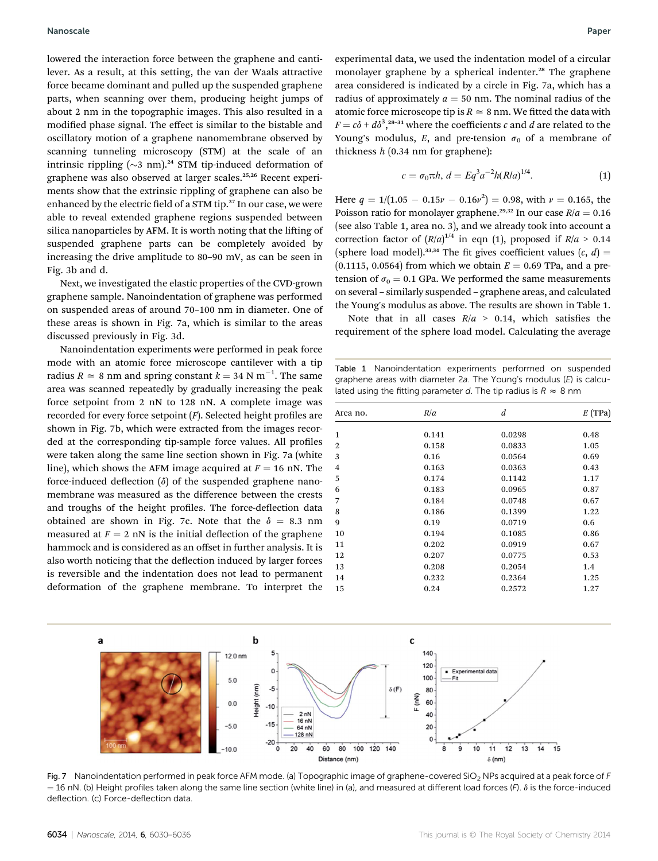lowered the interaction force between the graphene and cantilever. As a result, at this setting, the van der Waals attractive force became dominant and pulled up the suspended graphene parts, when scanning over them, producing height jumps of about 2 nm in the topographic images. This also resulted in a modified phase signal. The effect is similar to the bistable and oscillatory motion of a graphene nanomembrane observed by scanning tunneling microscopy (STM) at the scale of an intrinsic rippling  $({\sim}3 \text{ nm})$ .<sup>24</sup> STM tip-induced deformation of graphene was also observed at larger scales.25,26 Recent experiments show that the extrinsic rippling of graphene can also be enhanced by the electric field of a STM tip.<sup>27</sup> In our case, we were able to reveal extended graphene regions suspended between silica nanoparticles by AFM. It is worth noting that the lifting of suspended graphene parts can be completely avoided by increasing the drive amplitude to 80–90 mV, as can be seen in Fig. 3b and d.

Next, we investigated the elastic properties of the CVD-grown graphene sample. Nanoindentation of graphene was performed on suspended areas of around 70–100 nm in diameter. One of these areas is shown in Fig. 7a, which is similar to the areas discussed previously in Fig. 3d.

Nanoindentation experiments were performed in peak force mode with an atomic force microscope cantilever with a tip radius  $R \approx 8$  nm and spring constant  $k = 34$  N m<sup>-1</sup>. The same area was scanned repeatedly by gradually increasing the peak force setpoint from 2 nN to 128 nN. A complete image was recorded for every force setpoint  $(F)$ . Selected height profiles are shown in Fig. 7b, which were extracted from the images recorded at the corresponding tip-sample force values. All profiles were taken along the same line section shown in Fig. 7a (white line), which shows the AFM image acquired at  $F = 16$  nN. The force-induced deflection  $(\delta)$  of the suspended graphene nanomembrane was measured as the difference between the crests and troughs of the height profiles. The force-deflection data obtained are shown in Fig. 7c. Note that the  $\delta = 8.3$  nm measured at  $F = 2$  nN is the initial deflection of the graphene hammock and is considered as an offset in further analysis. It is also worth noticing that the deflection induced by larger forces is reversible and the indentation does not lead to permanent deformation of the graphene membrane. To interpret the experimental data, we used the indentation model of a circular monolayer graphene by a spherical indenter.<sup>28</sup> The graphene area considered is indicated by a circle in Fig. 7a, which has a radius of approximately  $a = 50$  nm. The nominal radius of the atomic force microscope tip is  $R \approx 8$  nm. We fitted the data with  $F = c\delta + d\delta^3$ , <sup>28-31</sup> where the coefficients c and d are related to the Young's modulus, E, and pre-tension  $\sigma_0$  of a membrane of thickness  $h$  (0.34 nm for graphene):

$$
c = \sigma_0 \pi h, d = Eq^3 a^{-2} h(R/a)^{1/4}.
$$
 (1)

Here  $q = 1/(1.05 - 0.15\nu - 0.16\nu^2) = 0.98$ , with  $\nu = 0.165$ , the Poisson ratio for monolayer graphene.<sup>29,32</sup> In our case  $R/a = 0.16$ (see also Table 1, area no. 3), and we already took into account a correction factor of  $(R/a)^{1/4}$  in eqn (1), proposed if  $R/a > 0.14$ (sphere load model).<sup>33,34</sup> The fit gives coefficient values  $(c, d)$  =  $(0.1115, 0.0564)$  from which we obtain  $E = 0.69$  TPa, and a pretension of  $\sigma_0 = 0.1$  GPa. We performed the same measurements on several – similarly suspended – graphene areas, and calculated the Young's modulus as above. The results are shown in Table 1.

Note that in all cases  $R/a > 0.14$ , which satisfies the requirement of the sphere load model. Calculating the average

Table 1 Nanoindentation experiments performed on suspended graphene areas with diameter 2a. The Young's modulus (E) is calculated using the fitting parameter d. The tip radius is  $R \approx 8$  nm

| Area no. | R/a   | d      | $E$ (TPa) |
|----------|-------|--------|-----------|
|          |       |        |           |
| 2        | 0.158 | 0.0833 | 1.05      |
| 3        | 0.16  | 0.0564 | 0.69      |
| 4        | 0.163 | 0.0363 | 0.43      |
| 5        | 0.174 | 0.1142 | 1.17      |
| 6        | 0.183 | 0.0965 | 0.87      |
| 7        | 0.184 | 0.0748 | 0.67      |
| 8        | 0.186 | 0.1399 | 1.22      |
| 9        | 0.19  | 0.0719 | 0.6       |
| 10       | 0.194 | 0.1085 | 0.86      |
| 11       | 0.202 | 0.0919 | 0.67      |
| 12       | 0.207 | 0.0775 | 0.53      |
| 13       | 0.208 | 0.2054 | 1.4       |
| 14       | 0.232 | 0.2364 | 1.25      |
| 15       | 0.24  | 0.2572 | 1.27      |
|          |       |        |           |



Fig. 7 Nanoindentation performed in peak force AFM mode. (a) Topographic image of graphene-covered SiO<sub>2</sub> NPs acquired at a peak force of F  $=$  16 nN. (b) Height profiles taken along the same line section (white line) in (a), and measured at different load forces (F).  $\delta$  is the force-induced deflection. (c) Force-deflection data.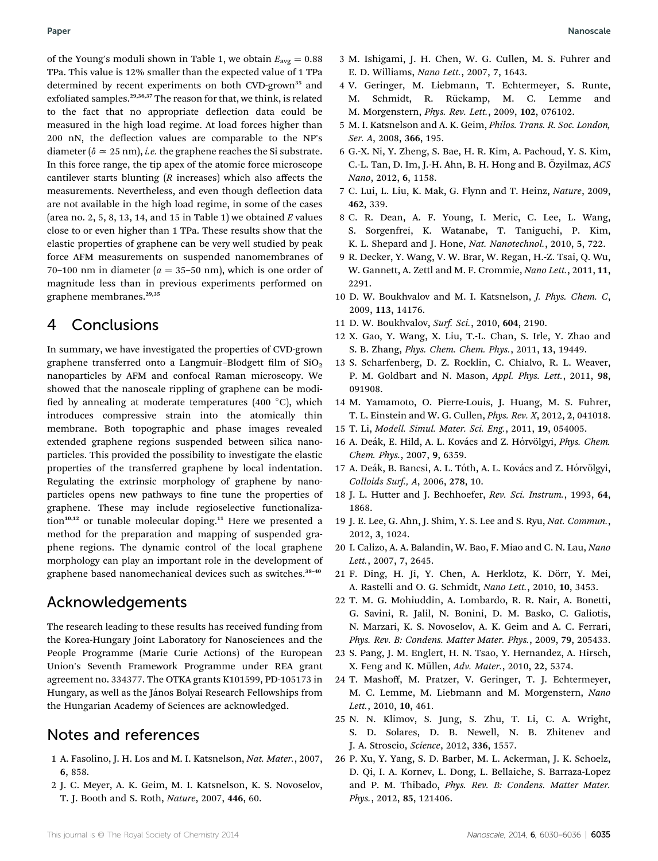of the Young's moduli shown in Table 1, we obtain  $E_{\text{avg}} = 0.88$ TPa. This value is 12% smaller than the expected value of 1 TPa determined by recent experiments on both CVD-grown<sup>35</sup> and exfoliated samples.<sup>29,36,37</sup> The reason for that, we think, is related to the fact that no appropriate deflection data could be measured in the high load regime. At load forces higher than 200 nN, the deflection values are comparable to the NP's diameter ( $\delta \approx 25$  nm), *i.e.* the graphene reaches the Si substrate. In this force range, the tip apex of the atomic force microscope cantilever starts blunting  $(R$  increases) which also affects the measurements. Nevertheless, and even though deflection data are not available in the high load regime, in some of the cases (area no. 2, 5, 8, 13, 14, and 15 in Table 1) we obtained  $E$  values close to or even higher than 1 TPa. These results show that the elastic properties of graphene can be very well studied by peak force AFM measurements on suspended nanomembranes of 70–100 nm in diameter ( $a = 35$ –50 nm), which is one order of magnitude less than in previous experiments performed on graphene membranes.<sup>29,35</sup>

#### 4 Conclusions

In summary, we have investigated the properties of CVD-grown graphene transferred onto a Langmuir-Blodgett film of  $SiO<sub>2</sub>$ nanoparticles by AFM and confocal Raman microscopy. We showed that the nanoscale rippling of graphene can be modi fied by annealing at moderate temperatures (400 $\degree$ C), which introduces compressive strain into the atomically thin membrane. Both topographic and phase images revealed extended graphene regions suspended between silica nanoparticles. This provided the possibility to investigate the elastic properties of the transferred graphene by local indentation. Regulating the extrinsic morphology of graphene by nanoparticles opens new pathways to fine tune the properties of graphene. These may include regioselective functionalization<sup>10,12</sup> or tunable molecular doping.<sup>11</sup> Here we presented a method for the preparation and mapping of suspended graphene regions. The dynamic control of the local graphene morphology can play an important role in the development of graphene based nanomechanical devices such as switches.<sup>38</sup>–<sup>40</sup>

#### Acknowledgements

The research leading to these results has received funding from the Korea-Hungary Joint Laboratory for Nanosciences and the People Programme (Marie Curie Actions) of the European Union's Seventh Framework Programme under REA grant agreement no. 334377. The OTKA grants K101599, PD-105173 in Hungary, as well as the János Bolyai Research Fellowships from the Hungarian Academy of Sciences are acknowledged.

#### Notes and references

- 1 A. Fasolino, J. H. Los and M. I. Katsnelson, Nat. Mater., 2007, 6, 858.
- 2 J. C. Meyer, A. K. Geim, M. I. Katsnelson, K. S. Novoselov, T. J. Booth and S. Roth, Nature, 2007, 446, 60.
- 3 M. Ishigami, J. H. Chen, W. G. Cullen, M. S. Fuhrer and E. D. Williams, Nano Lett., 2007, 7, 1643.
- 4 V. Geringer, M. Liebmann, T. Echtermeyer, S. Runte, M. Schmidt, R. Rückamp, M. C. Lemme and M. Morgenstern, Phys. Rev. Lett., 2009, 102, 076102.
- 5 M. I. Katsnelson and A. K. Geim, Philos. Trans. R. Soc. London, Ser. A, 2008, 366, 195.
- 6 G.-X. Ni, Y. Zheng, S. Bae, H. R. Kim, A. Pachoud, Y. S. Kim, C.-L. Tan, D. Im, J.-H. Ahn, B. H. Hong and B. Özyilmaz, ACS Nano, 2012, 6, 1158.
- 7 C. Lui, L. Liu, K. Mak, G. Flynn and T. Heinz, Nature, 2009, 462, 339.
- 8 C. R. Dean, A. F. Young, I. Meric, C. Lee, L. Wang, S. Sorgenfrei, K. Watanabe, T. Taniguchi, P. Kim, K. L. Shepard and J. Hone, Nat. Nanotechnol., 2010, 5, 722.
- 9 R. Decker, Y. Wang, V. W. Brar, W. Regan, H.-Z. Tsai, Q. Wu, W. Gannett, A. Zettl and M. F. Crommie, Nano Lett., 2011, 11, 2291.
- 10 D. W. Boukhvalov and M. I. Katsnelson, J. Phys. Chem. C, 2009, 113, 14176.
- 11 D. W. Boukhvalov, Surf. Sci., 2010, 604, 2190.
- 12 X. Gao, Y. Wang, X. Liu, T.-L. Chan, S. Irle, Y. Zhao and S. B. Zhang, Phys. Chem. Chem. Phys., 2011, 13, 19449.
- 13 S. Scharfenberg, D. Z. Rocklin, C. Chialvo, R. L. Weaver, P. M. Goldbart and N. Mason, Appl. Phys. Lett., 2011, 98, 091908.
- 14 M. Yamamoto, O. Pierre-Louis, J. Huang, M. S. Fuhrer, T. L. Einstein and W. G. Cullen, Phys. Rev. X, 2012, 2, 041018.
- 15 T. Li, Modell. Simul. Mater. Sci. Eng., 2011, 19, 054005.
- 16 A. Deák, E. Hild, A. L. Kovács and Z. Hórvölgyi, Phys. Chem. Chem. Phys., 2007, 9, 6359.
- 17 A. Deák, B. Bancsi, A. L. Tóth, A. L. Kovács and Z. Hórvölgyi, Colloids Surf., A, 2006, 278, 10.
- 18 J. L. Hutter and J. Bechhoefer, Rev. Sci. Instrum., 1993, 64, 1868.
- 19 J. E. Lee, G. Ahn, J. Shim, Y. S. Lee and S. Ryu, Nat. Commun., 2012, 3, 1024.
- 20 I. Calizo, A. A. Balandin, W. Bao, F. Miao and C. N. Lau, Nano Lett., 2007, 7, 2645.
- 21 F. Ding, H. Ji, Y. Chen, A. Herklotz, K. Dörr, Y. Mei, A. Rastelli and O. G. Schmidt, Nano Lett., 2010, 10, 3453.
- 22 T. M. G. Mohiuddin, A. Lombardo, R. R. Nair, A. Bonetti, G. Savini, R. Jalil, N. Bonini, D. M. Basko, C. Galiotis, N. Marzari, K. S. Novoselov, A. K. Geim and A. C. Ferrari, Phys. Rev. B: Condens. Matter Mater. Phys., 2009, 79, 205433.
- 23 S. Pang, J. M. Englert, H. N. Tsao, Y. Hernandez, A. Hirsch, X. Feng and K. Müllen, Adv. Mater., 2010, 22, 5374.
- 24 T. Mashoff, M. Pratzer, V. Geringer, T. J. Echtermeyer, M. C. Lemme, M. Liebmann and M. Morgenstern, Nano Lett., 2010, 10, 461.
- 25 N. N. Klimov, S. Jung, S. Zhu, T. Li, C. A. Wright, S. D. Solares, D. B. Newell, N. B. Zhitenev and J. A. Stroscio, Science, 2012, 336, 1557.
- 26 P. Xu, Y. Yang, S. D. Barber, M. L. Ackerman, J. K. Schoelz, D. Qi, I. A. Kornev, L. Dong, L. Bellaiche, S. Barraza-Lopez and P. M. Thibado, Phys. Rev. B: Condens. Matter Mater. Phys., 2012, 85, 121406.